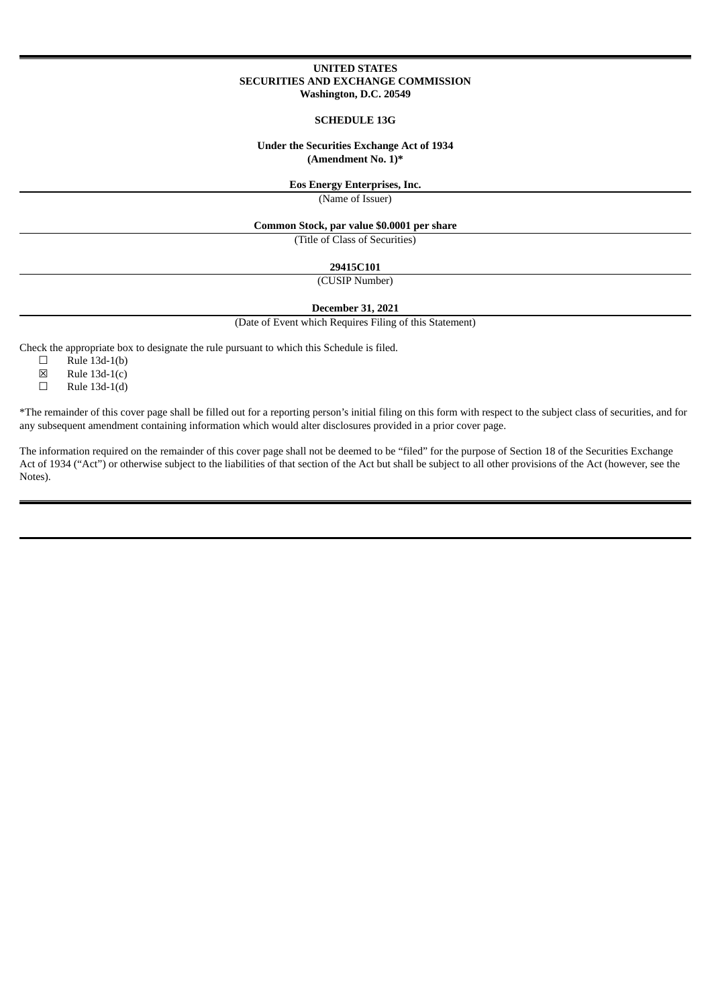### **UNITED STATES SECURITIES AND EXCHANGE COMMISSION Washington, D.C. 20549**

#### **SCHEDULE 13G**

## **Under the Securities Exchange Act of 1934 (Amendment No. 1)\***

## **Eos Energy Enterprises, Inc.**

(Name of Issuer)

## **Common Stock, par value \$0.0001 per share**

(Title of Class of Securities)

**29415C101**

## (CUSIP Number)

**December 31, 2021**

(Date of Event which Requires Filing of this Statement)

Check the appropriate box to designate the rule pursuant to which this Schedule is filed.<br>  $\Box$  Rule 13d-1(b)

Rule  $13d-1(b)$ 

 $\boxtimes$  Rule 13d-1(c)<br>  $\Box$  Rule 13d-1(d)

Rule  $13d-1(d)$ 

\*The remainder of this cover page shall be filled out for a reporting person's initial filing on this form with respect to the subject class of securities, and for any subsequent amendment containing information which would alter disclosures provided in a prior cover page.

The information required on the remainder of this cover page shall not be deemed to be "filed" for the purpose of Section 18 of the Securities Exchange Act of 1934 ("Act") or otherwise subject to the liabilities of that section of the Act but shall be subject to all other provisions of the Act (however, see the Notes).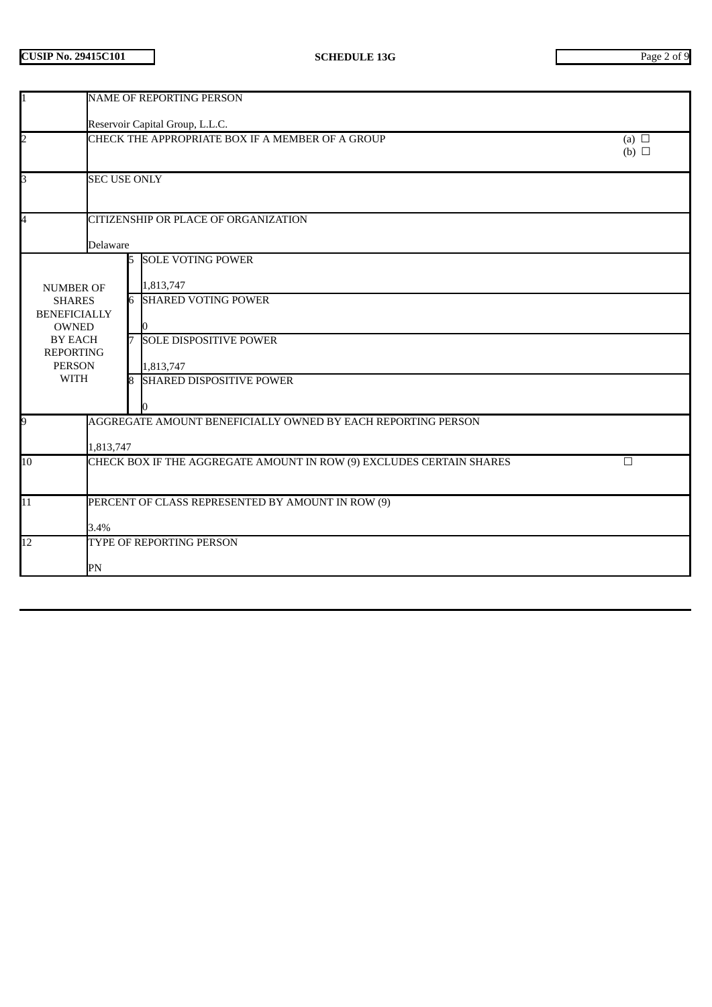| 1                                                                        | <b>NAME OF REPORTING PERSON</b>                                                   |                                      |                                                                      |  |  |  |  |
|--------------------------------------------------------------------------|-----------------------------------------------------------------------------------|--------------------------------------|----------------------------------------------------------------------|--|--|--|--|
|                                                                          | Reservoir Capital Group, L.L.C.                                                   |                                      |                                                                      |  |  |  |  |
| $\overline{2}$                                                           | CHECK THE APPROPRIATE BOX IF A MEMBER OF A GROUP<br>(a) $\Box$<br>$(b)$ $\square$ |                                      |                                                                      |  |  |  |  |
| 3                                                                        | <b>SEC USE ONLY</b>                                                               |                                      |                                                                      |  |  |  |  |
| 4                                                                        |                                                                                   | CITIZENSHIP OR PLACE OF ORGANIZATION |                                                                      |  |  |  |  |
|                                                                          | Delaware                                                                          |                                      |                                                                      |  |  |  |  |
|                                                                          |                                                                                   | 5                                    | <b>SOLE VOTING POWER</b><br>1,813,747                                |  |  |  |  |
| <b>NUMBER OF</b><br><b>SHARES</b><br><b>BENEFICIALLY</b><br><b>OWNED</b> |                                                                                   |                                      | <b>6 SHARED VOTING POWER</b>                                         |  |  |  |  |
| BY EACH<br><b>REPORTING</b><br><b>PERSON</b>                             |                                                                                   | 7                                    | <b>SOLE DISPOSITIVE POWER</b><br>1,813,747                           |  |  |  |  |
| <b>WITH</b>                                                              |                                                                                   | R.                                   | <b>SHARED DISPOSITIVE POWER</b>                                      |  |  |  |  |
| 9                                                                        | AGGREGATE AMOUNT BENEFICIALLY OWNED BY EACH REPORTING PERSON                      |                                      |                                                                      |  |  |  |  |
| 1,813,747                                                                |                                                                                   |                                      | $\Box$                                                               |  |  |  |  |
| 10                                                                       |                                                                                   |                                      | CHECK BOX IF THE AGGREGATE AMOUNT IN ROW (9) EXCLUDES CERTAIN SHARES |  |  |  |  |
| $\overline{11}$                                                          | PERCENT OF CLASS REPRESENTED BY AMOUNT IN ROW (9)                                 |                                      |                                                                      |  |  |  |  |
|                                                                          | 3.4%                                                                              |                                      |                                                                      |  |  |  |  |
| 12                                                                       | TYPE OF REPORTING PERSON                                                          |                                      |                                                                      |  |  |  |  |
| PN                                                                       |                                                                                   |                                      |                                                                      |  |  |  |  |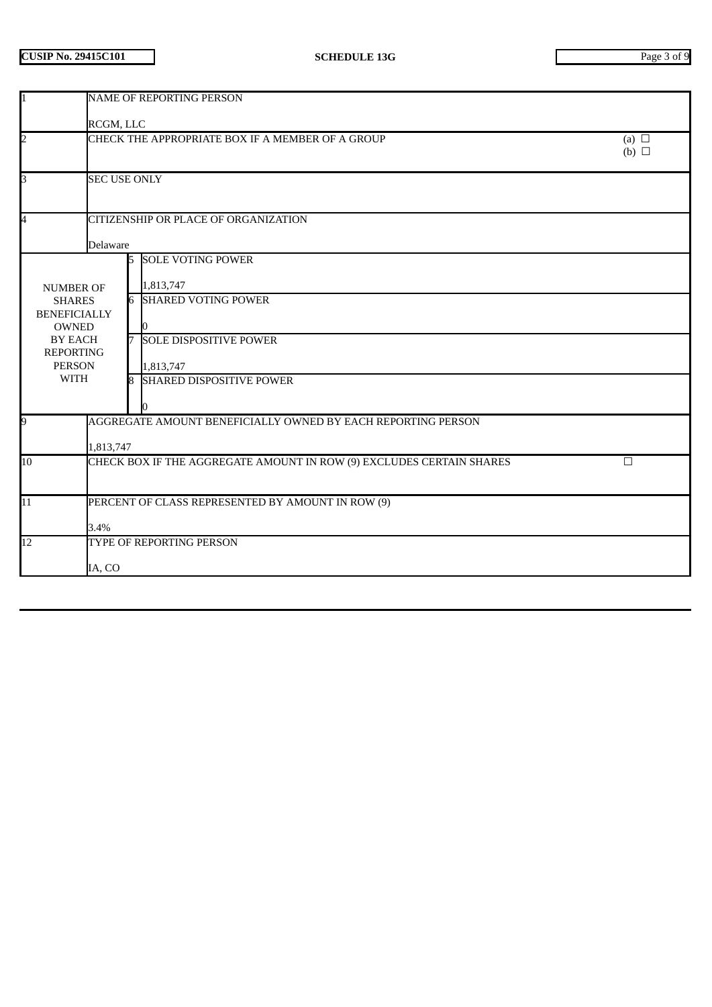| $\mathbf{1}$                                                                         | NAME OF REPORTING PERSON                                                     |    |                                 |  |  |  |
|--------------------------------------------------------------------------------------|------------------------------------------------------------------------------|----|---------------------------------|--|--|--|
|                                                                                      | RCGM, LLC                                                                    |    |                                 |  |  |  |
| $\overline{a}$                                                                       | CHECK THE APPROPRIATE BOX IF A MEMBER OF A GROUP<br>(a) $\Box$<br>(b) $\Box$ |    |                                 |  |  |  |
| $\overline{\mathsf{S}}$                                                              | <b>SEC USE ONLY</b>                                                          |    |                                 |  |  |  |
| 4<br>CITIZENSHIP OR PLACE OF ORGANIZATION                                            |                                                                              |    |                                 |  |  |  |
| Delaware                                                                             |                                                                              |    |                                 |  |  |  |
|                                                                                      |                                                                              | 15 | <b>SOLE VOTING POWER</b>        |  |  |  |
| <b>NUMBER OF</b>                                                                     |                                                                              |    | 1,813,747                       |  |  |  |
| <b>SHARES</b><br><b>BENEFICIALLY</b>                                                 |                                                                              |    | <b>6 SHARED VOTING POWER</b>    |  |  |  |
| <b>OWNED</b>                                                                         |                                                                              |    |                                 |  |  |  |
| <b>BY EACH</b><br><b>REPORTING</b>                                                   |                                                                              | 7  | <b>SOLE DISPOSITIVE POWER</b>   |  |  |  |
| <b>PERSON</b>                                                                        |                                                                              |    | 1,813,747                       |  |  |  |
| <b>WITH</b>                                                                          |                                                                              | 8  | <b>SHARED DISPOSITIVE POWER</b> |  |  |  |
|                                                                                      |                                                                              |    |                                 |  |  |  |
| 9                                                                                    | AGGREGATE AMOUNT BENEFICIALLY OWNED BY EACH REPORTING PERSON                 |    |                                 |  |  |  |
| 1,813,747                                                                            |                                                                              |    |                                 |  |  |  |
| 10<br>CHECK BOX IF THE AGGREGATE AMOUNT IN ROW (9) EXCLUDES CERTAIN SHARES<br>$\Box$ |                                                                              |    |                                 |  |  |  |
|                                                                                      |                                                                              |    |                                 |  |  |  |
| $\overline{11}$                                                                      | PERCENT OF CLASS REPRESENTED BY AMOUNT IN ROW (9)                            |    |                                 |  |  |  |
|                                                                                      | 3.4%                                                                         |    |                                 |  |  |  |
| 12<br>TYPE OF REPORTING PERSON                                                       |                                                                              |    |                                 |  |  |  |
| IA, CO                                                                               |                                                                              |    |                                 |  |  |  |
|                                                                                      |                                                                              |    |                                 |  |  |  |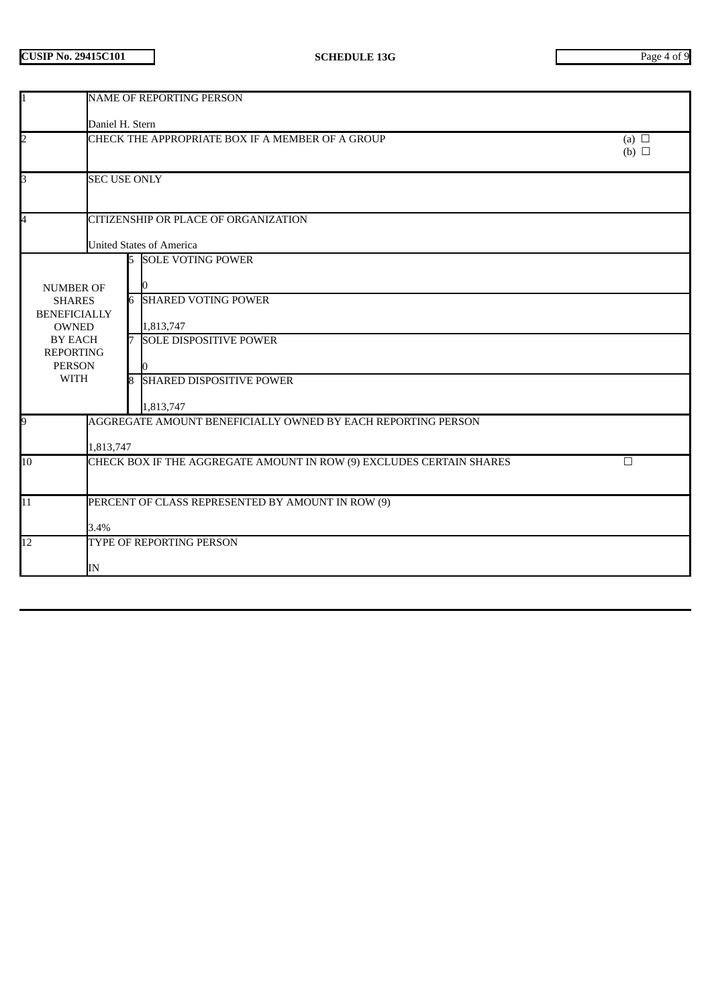|                                                                            | <b>NAME OF REPORTING PERSON</b>                                              |                                 |                                                              |  |  |  |
|----------------------------------------------------------------------------|------------------------------------------------------------------------------|---------------------------------|--------------------------------------------------------------|--|--|--|
|                                                                            | Daniel H. Stern                                                              |                                 |                                                              |  |  |  |
| $\overline{2}$                                                             | CHECK THE APPROPRIATE BOX IF A MEMBER OF A GROUP<br>(a) $\Box$<br>(b) $\Box$ |                                 |                                                              |  |  |  |
| 3                                                                          | <b>SEC USE ONLY</b>                                                          |                                 |                                                              |  |  |  |
| 4                                                                          | CITIZENSHIP OR PLACE OF ORGANIZATION                                         |                                 |                                                              |  |  |  |
|                                                                            |                                                                              | <b>United States of America</b> |                                                              |  |  |  |
|                                                                            |                                                                              |                                 | <b>5 SOLE VOTING POWER</b>                                   |  |  |  |
| <b>NUMBER OF</b><br><b>SHARES</b>                                          |                                                                              |                                 | <b>6 SHARED VOTING POWER</b>                                 |  |  |  |
| <b>BENEFICIALLY</b><br><b>OWNED</b><br><b>BY EACH</b>                      |                                                                              |                                 |                                                              |  |  |  |
|                                                                            |                                                                              | 1,813,747                       | 7 SOLE DISPOSITIVE POWER                                     |  |  |  |
| <b>REPORTING</b>                                                           |                                                                              |                                 |                                                              |  |  |  |
| <b>PERSON</b>                                                              |                                                                              |                                 |                                                              |  |  |  |
| <b>WITH</b>                                                                |                                                                              |                                 | 8 SHARED DISPOSITIVE POWER                                   |  |  |  |
|                                                                            |                                                                              | 1,813,747                       |                                                              |  |  |  |
| 9                                                                          |                                                                              |                                 | AGGREGATE AMOUNT BENEFICIALLY OWNED BY EACH REPORTING PERSON |  |  |  |
|                                                                            | 1,813,747                                                                    |                                 |                                                              |  |  |  |
| CHECK BOX IF THE AGGREGATE AMOUNT IN ROW (9) EXCLUDES CERTAIN SHARES<br>10 |                                                                              | $\Box$                          |                                                              |  |  |  |
|                                                                            |                                                                              |                                 |                                                              |  |  |  |
| 11                                                                         | PERCENT OF CLASS REPRESENTED BY AMOUNT IN ROW (9)                            |                                 |                                                              |  |  |  |
|                                                                            | 3.4%                                                                         |                                 |                                                              |  |  |  |
| 12                                                                         | TYPE OF REPORTING PERSON                                                     |                                 |                                                              |  |  |  |
|                                                                            | IN                                                                           |                                 |                                                              |  |  |  |
|                                                                            |                                                                              |                                 |                                                              |  |  |  |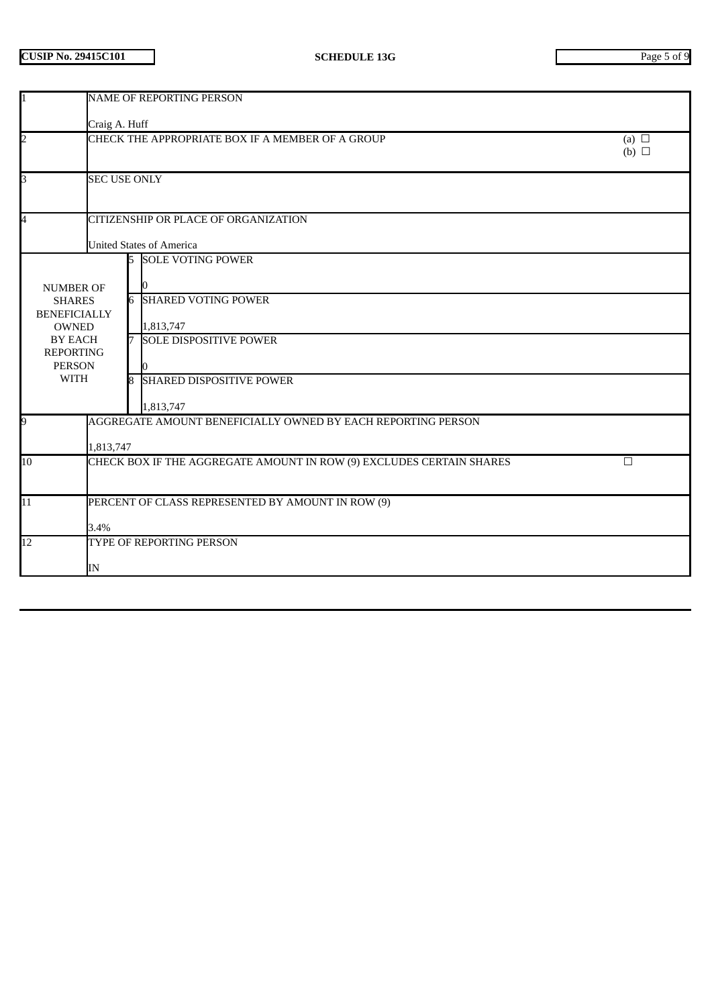| <b>NAME OF REPORTING PERSON</b>                                              |                                                                                                                                                              |                                                                                                                                                                                                                                                |  |  |  |  |
|------------------------------------------------------------------------------|--------------------------------------------------------------------------------------------------------------------------------------------------------------|------------------------------------------------------------------------------------------------------------------------------------------------------------------------------------------------------------------------------------------------|--|--|--|--|
| Craig A. Huff                                                                |                                                                                                                                                              |                                                                                                                                                                                                                                                |  |  |  |  |
| CHECK THE APPROPRIATE BOX IF A MEMBER OF A GROUP<br>(a) $\Box$<br>(b) $\Box$ |                                                                                                                                                              |                                                                                                                                                                                                                                                |  |  |  |  |
| <b>SEC USE ONLY</b>                                                          |                                                                                                                                                              |                                                                                                                                                                                                                                                |  |  |  |  |
|                                                                              |                                                                                                                                                              |                                                                                                                                                                                                                                                |  |  |  |  |
|                                                                              |                                                                                                                                                              |                                                                                                                                                                                                                                                |  |  |  |  |
|                                                                              | <b>5 SOLE VOTING POWER</b>                                                                                                                                   |                                                                                                                                                                                                                                                |  |  |  |  |
|                                                                              |                                                                                                                                                              |                                                                                                                                                                                                                                                |  |  |  |  |
|                                                                              |                                                                                                                                                              |                                                                                                                                                                                                                                                |  |  |  |  |
|                                                                              | 1,813,747                                                                                                                                                    |                                                                                                                                                                                                                                                |  |  |  |  |
|                                                                              |                                                                                                                                                              |                                                                                                                                                                                                                                                |  |  |  |  |
|                                                                              |                                                                                                                                                              |                                                                                                                                                                                                                                                |  |  |  |  |
|                                                                              |                                                                                                                                                              |                                                                                                                                                                                                                                                |  |  |  |  |
|                                                                              | 1,813,747                                                                                                                                                    |                                                                                                                                                                                                                                                |  |  |  |  |
|                                                                              |                                                                                                                                                              |                                                                                                                                                                                                                                                |  |  |  |  |
|                                                                              |                                                                                                                                                              |                                                                                                                                                                                                                                                |  |  |  |  |
| CHECK BOX IF THE AGGREGATE AMOUNT IN ROW (9) EXCLUDES CERTAIN SHARES<br>10   |                                                                                                                                                              | $\Box$                                                                                                                                                                                                                                         |  |  |  |  |
|                                                                              |                                                                                                                                                              |                                                                                                                                                                                                                                                |  |  |  |  |
| PERCENT OF CLASS REPRESENTED BY AMOUNT IN ROW (9)                            |                                                                                                                                                              |                                                                                                                                                                                                                                                |  |  |  |  |
|                                                                              |                                                                                                                                                              |                                                                                                                                                                                                                                                |  |  |  |  |
| TYPE OF REPORTING PERSON                                                     |                                                                                                                                                              |                                                                                                                                                                                                                                                |  |  |  |  |
|                                                                              |                                                                                                                                                              |                                                                                                                                                                                                                                                |  |  |  |  |
|                                                                              | <b>NUMBER OF</b><br><b>SHARES</b><br><b>BENEFICIALLY</b><br><b>OWNED</b><br><b>BY EACH</b><br><b>REPORTING</b><br><b>PERSON</b><br><b>WITH</b><br>3.4%<br>IN | CITIZENSHIP OR PLACE OF ORGANIZATION<br><b>United States of America</b><br><b>6 SHARED VOTING POWER</b><br>7 SOLE DISPOSITIVE POWER<br>8 SHARED DISPOSITIVE POWER<br>AGGREGATE AMOUNT BENEFICIALLY OWNED BY EACH REPORTING PERSON<br>1,813,747 |  |  |  |  |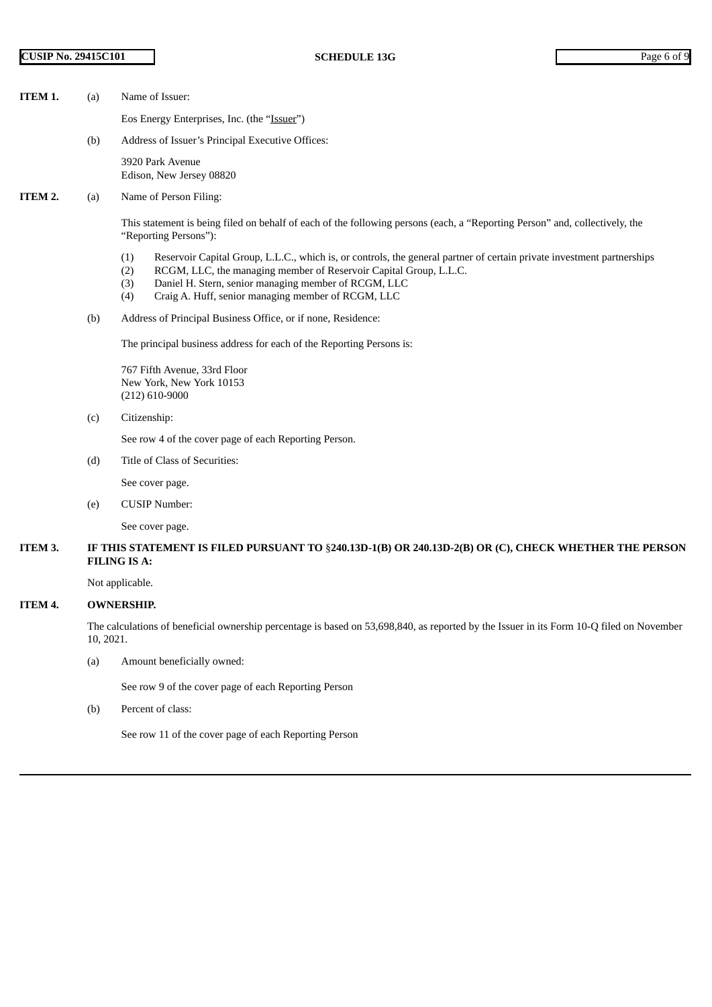- **ITEM 1.** (a) Name of Issuer:
	- Eos Energy Enterprises, Inc. (the "Issuer")
	- (b) Address of Issuer's Principal Executive Offices:

3920 Park Avenue Edison, New Jersey 08820

**ITEM 2.** (a) Name of Person Filing:

This statement is being filed on behalf of each of the following persons (each, a "Reporting Person" and, collectively, the "Reporting Persons"):

- (1) Reservoir Capital Group, L.L.C., which is, or controls, the general partner of certain private investment partnerships
- (2) RCGM, LLC, the managing member of Reservoir Capital Group, L.L.C.
- (3) Daniel H. Stern, senior managing member of RCGM, LLC
- (4) Craig A. Huff, senior managing member of RCGM, LLC
- (b) Address of Principal Business Office, or if none, Residence:

The principal business address for each of the Reporting Persons is:

767 Fifth Avenue, 33rd Floor New York, New York 10153 (212) 610-9000

(c) Citizenship:

See row 4 of the cover page of each Reporting Person.

(d) Title of Class of Securities:

See cover page.

(e) CUSIP Number:

See cover page.

ITEM 3. IF THIS STATEMENT IS FILED PURSUANT TO §240.13D-1(B) OR 240.13D-2(B) OR (C), CHECK WHETHER THE PERSON **FILING IS A:**

Not applicable.

## **ITEM 4. OWNERSHIP.**

The calculations of beneficial ownership percentage is based on 53,698,840, as reported by the Issuer in its Form 10-Q filed on November 10, 2021.

(a) Amount beneficially owned:

See row 9 of the cover page of each Reporting Person

(b) Percent of class:

See row 11 of the cover page of each Reporting Person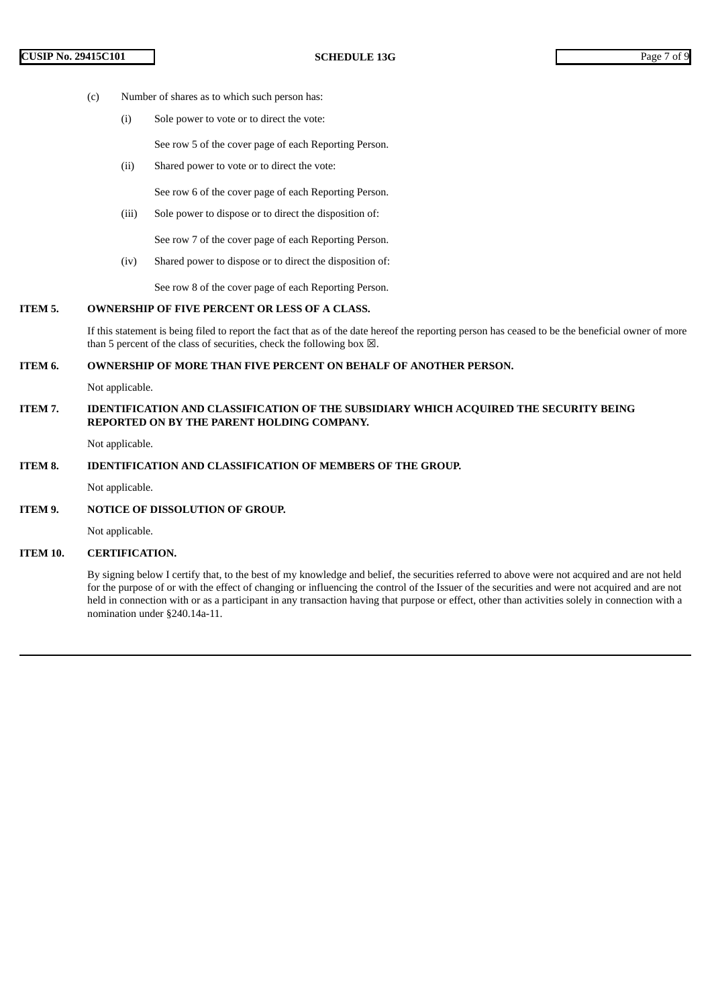- (c) Number of shares as to which such person has:
	- (i) Sole power to vote or to direct the vote:

See row 5 of the cover page of each Reporting Person.

(ii) Shared power to vote or to direct the vote:

See row 6 of the cover page of each Reporting Person.

(iii) Sole power to dispose or to direct the disposition of:

See row 7 of the cover page of each Reporting Person.

(iv) Shared power to dispose or to direct the disposition of:

See row 8 of the cover page of each Reporting Person.

## **ITEM 5. OWNERSHIP OF FIVE PERCENT OR LESS OF A CLASS.**

If this statement is being filed to report the fact that as of the date hereof the reporting person has ceased to be the beneficial owner of more than 5 percent of the class of securities, check the following box  $\boxtimes$ .

#### **ITEM 6. OWNERSHIP OF MORE THAN FIVE PERCENT ON BEHALF OF ANOTHER PERSON.**

Not applicable.

**ITEM 7. IDENTIFICATION AND CLASSIFICATION OF THE SUBSIDIARY WHICH ACQUIRED THE SECURITY BEING REPORTED ON BY THE PARENT HOLDING COMPANY.**

Not applicable.

### **ITEM 8. IDENTIFICATION AND CLASSIFICATION OF MEMBERS OF THE GROUP.**

Not applicable.

**ITEM 9. NOTICE OF DISSOLUTION OF GROUP.**

Not applicable.

**ITEM 10. CERTIFICATION.**

By signing below I certify that, to the best of my knowledge and belief, the securities referred to above were not acquired and are not held for the purpose of or with the effect of changing or influencing the control of the Issuer of the securities and were not acquired and are not held in connection with or as a participant in any transaction having that purpose or effect, other than activities solely in connection with a nomination under §240.14a-11.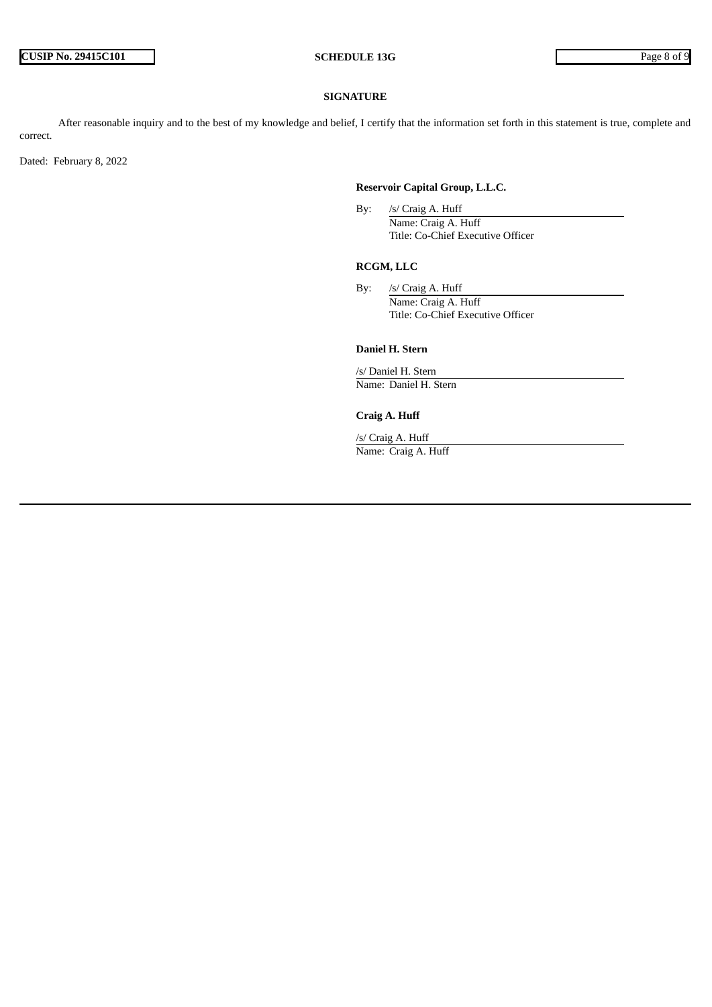#### **SIGNATURE**

After reasonable inquiry and to the best of my knowledge and belief, I certify that the information set forth in this statement is true, complete and correct.

Dated: February 8, 2022

## **Reservoir Capital Group, L.L.C.**

By: /s/ Craig A. Huff Name: Craig A. Huff Title: Co-Chief Executive Officer

# **RCGM, LLC**

By: /s/ Craig A. Huff Name: Craig A. Huff Title: Co-Chief Executive Officer

#### **Daniel H. Stern**

/s/ Daniel H. Stern Name: Daniel H. Stern

# **Craig A. Huff**

/s/ Craig A. Huff Name: Craig A. Huff